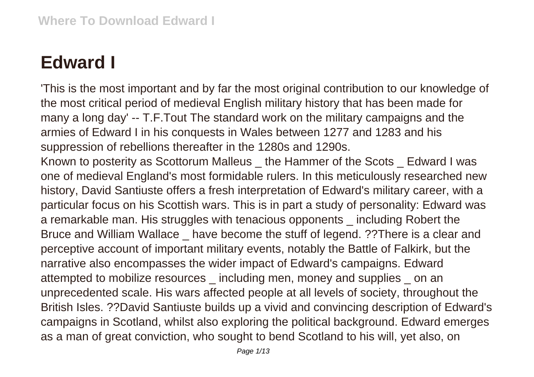## **Edward I**

'This is the most important and by far the most original contribution to our knowledge of the most critical period of medieval English military history that has been made for many a long day' -- T.F.Tout The standard work on the military campaigns and the armies of Edward I in his conquests in Wales between 1277 and 1283 and his suppression of rebellions thereafter in the 1280s and 1290s.

Known to posterity as Scottorum Malleus the Hammer of the Scots Edward I was one of medieval England's most formidable rulers. In this meticulously researched new history, David Santiuste offers a fresh interpretation of Edward's military career, with a particular focus on his Scottish wars. This is in part a study of personality: Edward was a remarkable man. His struggles with tenacious opponents \_ including Robert the Bruce and William Wallace \_ have become the stuff of legend. ??There is a clear and perceptive account of important military events, notably the Battle of Falkirk, but the narrative also encompasses the wider impact of Edward's campaigns. Edward attempted to mobilize resources \_ including men, money and supplies \_ on an unprecedented scale. His wars affected people at all levels of society, throughout the British Isles. ??David Santiuste builds up a vivid and convincing description of Edward's campaigns in Scotland, whilst also exploring the political background. Edward emerges as a man of great conviction, who sought to bend Scotland to his will, yet also, on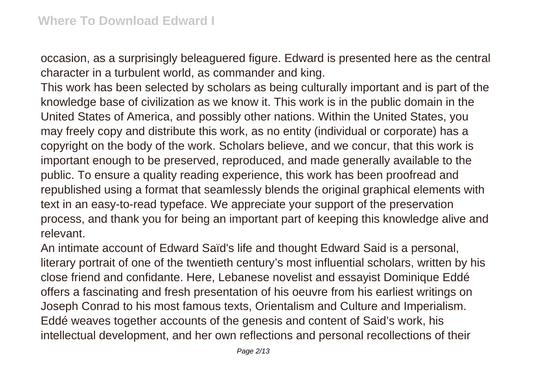occasion, as a surprisingly beleaguered figure. Edward is presented here as the central character in a turbulent world, as commander and king.

This work has been selected by scholars as being culturally important and is part of the knowledge base of civilization as we know it. This work is in the public domain in the United States of America, and possibly other nations. Within the United States, you may freely copy and distribute this work, as no entity (individual or corporate) has a copyright on the body of the work. Scholars believe, and we concur, that this work is important enough to be preserved, reproduced, and made generally available to the public. To ensure a quality reading experience, this work has been proofread and republished using a format that seamlessly blends the original graphical elements with text in an easy-to-read typeface. We appreciate your support of the preservation process, and thank you for being an important part of keeping this knowledge alive and relevant.

An intimate account of Edward Saïd's life and thought Edward Said is a personal, literary portrait of one of the twentieth century's most influential scholars, written by his close friend and confidante. Here, Lebanese novelist and essayist Dominique Eddé offers a fascinating and fresh presentation of his oeuvre from his earliest writings on Joseph Conrad to his most famous texts, Orientalism and Culture and Imperialism. Eddé weaves together accounts of the genesis and content of Said's work, his intellectual development, and her own reflections and personal recollections of their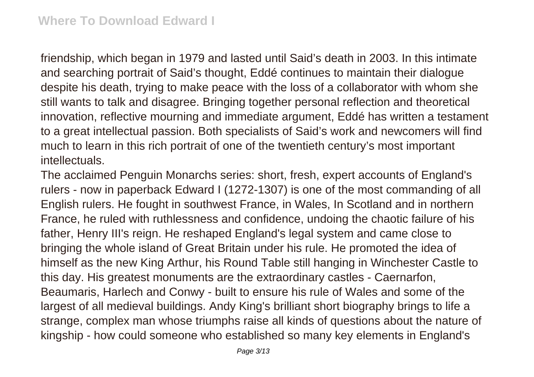friendship, which began in 1979 and lasted until Said's death in 2003. In this intimate and searching portrait of Said's thought, Eddé continues to maintain their dialogue despite his death, trying to make peace with the loss of a collaborator with whom she still wants to talk and disagree. Bringing together personal reflection and theoretical innovation, reflective mourning and immediate argument, Eddé has written a testament to a great intellectual passion. Both specialists of Said's work and newcomers will find much to learn in this rich portrait of one of the twentieth century's most important intellectuals.

The acclaimed Penguin Monarchs series: short, fresh, expert accounts of England's rulers - now in paperback Edward I (1272-1307) is one of the most commanding of all English rulers. He fought in southwest France, in Wales, In Scotland and in northern France, he ruled with ruthlessness and confidence, undoing the chaotic failure of his father, Henry III's reign. He reshaped England's legal system and came close to bringing the whole island of Great Britain under his rule. He promoted the idea of himself as the new King Arthur, his Round Table still hanging in Winchester Castle to this day. His greatest monuments are the extraordinary castles - Caernarfon, Beaumaris, Harlech and Conwy - built to ensure his rule of Wales and some of the largest of all medieval buildings. Andy King's brilliant short biography brings to life a strange, complex man whose triumphs raise all kinds of questions about the nature of kingship - how could someone who established so many key elements in England's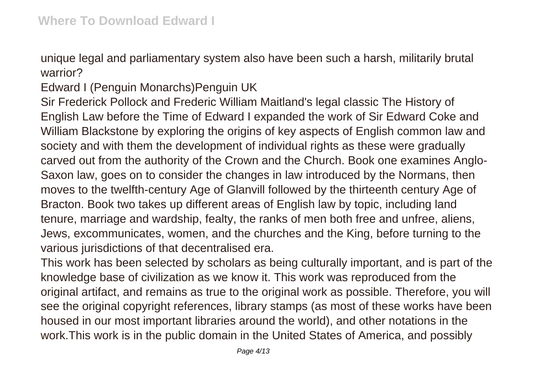unique legal and parliamentary system also have been such a harsh, militarily brutal warrior?

Edward I (Penguin Monarchs)Penguin UK

Sir Frederick Pollock and Frederic William Maitland's legal classic The History of English Law before the Time of Edward I expanded the work of Sir Edward Coke and William Blackstone by exploring the origins of key aspects of English common law and society and with them the development of individual rights as these were gradually carved out from the authority of the Crown and the Church. Book one examines Anglo-Saxon law, goes on to consider the changes in law introduced by the Normans, then moves to the twelfth-century Age of Glanvill followed by the thirteenth century Age of Bracton. Book two takes up different areas of English law by topic, including land tenure, marriage and wardship, fealty, the ranks of men both free and unfree, aliens, Jews, excommunicates, women, and the churches and the King, before turning to the various jurisdictions of that decentralised era.

This work has been selected by scholars as being culturally important, and is part of the knowledge base of civilization as we know it. This work was reproduced from the original artifact, and remains as true to the original work as possible. Therefore, you will see the original copyright references, library stamps (as most of these works have been housed in our most important libraries around the world), and other notations in the work.This work is in the public domain in the United States of America, and possibly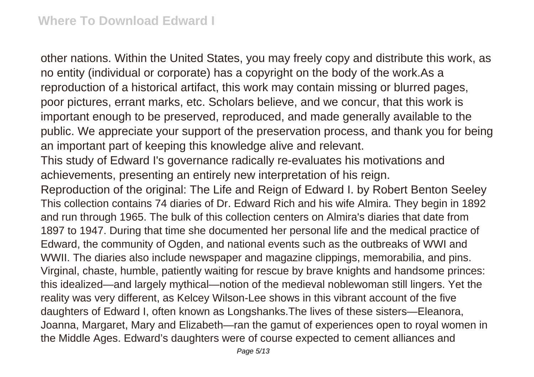other nations. Within the United States, you may freely copy and distribute this work, as no entity (individual or corporate) has a copyright on the body of the work.As a reproduction of a historical artifact, this work may contain missing or blurred pages, poor pictures, errant marks, etc. Scholars believe, and we concur, that this work is important enough to be preserved, reproduced, and made generally available to the public. We appreciate your support of the preservation process, and thank you for being an important part of keeping this knowledge alive and relevant. This study of Edward I's governance radically re-evaluates his motivations and achievements, presenting an entirely new interpretation of his reign. Reproduction of the original: The Life and Reign of Edward I. by Robert Benton Seeley This collection contains 74 diaries of Dr. Edward Rich and his wife Almira. They begin in 1892 and run through 1965. The bulk of this collection centers on Almira's diaries that date from 1897 to 1947. During that time she documented her personal life and the medical practice of Edward, the community of Ogden, and national events such as the outbreaks of WWI and WWII. The diaries also include newspaper and magazine clippings, memorabilia, and pins. Virginal, chaste, humble, patiently waiting for rescue by brave knights and handsome princes: this idealized—and largely mythical—notion of the medieval noblewoman still lingers. Yet the reality was very different, as Kelcey Wilson-Lee shows in this vibrant account of the five daughters of Edward I, often known as Longshanks.The lives of these sisters—Eleanora, Joanna, Margaret, Mary and Elizabeth—ran the gamut of experiences open to royal women in the Middle Ages. Edward's daughters were of course expected to cement alliances and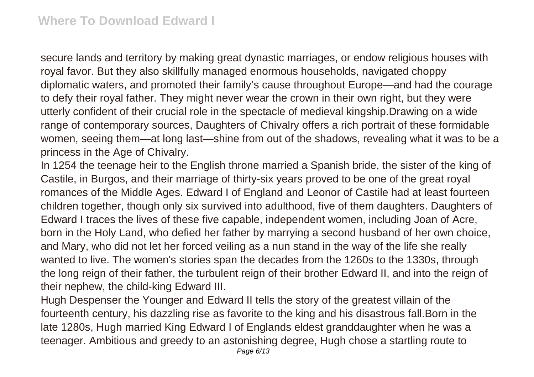secure lands and territory by making great dynastic marriages, or endow religious houses with royal favor. But they also skillfully managed enormous households, navigated choppy diplomatic waters, and promoted their family's cause throughout Europe—and had the courage to defy their royal father. They might never wear the crown in their own right, but they were utterly confident of their crucial role in the spectacle of medieval kingship.Drawing on a wide range of contemporary sources, Daughters of Chivalry offers a rich portrait of these formidable women, seeing them—at long last—shine from out of the shadows, revealing what it was to be a princess in the Age of Chivalry.

In 1254 the teenage heir to the English throne married a Spanish bride, the sister of the king of Castile, in Burgos, and their marriage of thirty-six years proved to be one of the great royal romances of the Middle Ages. Edward I of England and Leonor of Castile had at least fourteen children together, though only six survived into adulthood, five of them daughters. Daughters of Edward I traces the lives of these five capable, independent women, including Joan of Acre, born in the Holy Land, who defied her father by marrying a second husband of her own choice, and Mary, who did not let her forced veiling as a nun stand in the way of the life she really wanted to live. The women's stories span the decades from the 1260s to the 1330s, through the long reign of their father, the turbulent reign of their brother Edward II, and into the reign of their nephew, the child-king Edward III.

Hugh Despenser the Younger and Edward II tells the story of the greatest villain of the fourteenth century, his dazzling rise as favorite to the king and his disastrous fall.Born in the late 1280s, Hugh married King Edward I of Englands eldest granddaughter when he was a teenager. Ambitious and greedy to an astonishing degree, Hugh chose a startling route to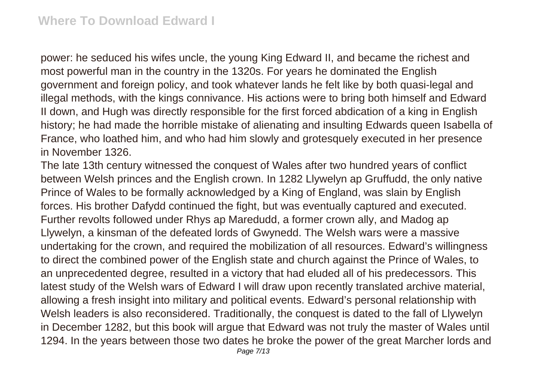power: he seduced his wifes uncle, the young King Edward II, and became the richest and most powerful man in the country in the 1320s. For years he dominated the English government and foreign policy, and took whatever lands he felt like by both quasi-legal and illegal methods, with the kings connivance. His actions were to bring both himself and Edward II down, and Hugh was directly responsible for the first forced abdication of a king in English history; he had made the horrible mistake of alienating and insulting Edwards queen Isabella of France, who loathed him, and who had him slowly and grotesquely executed in her presence in November 1326.

The late 13th century witnessed the conquest of Wales after two hundred years of conflict between Welsh princes and the English crown. In 1282 Llywelyn ap Gruffudd, the only native Prince of Wales to be formally acknowledged by a King of England, was slain by English forces. His brother Dafydd continued the fight, but was eventually captured and executed. Further revolts followed under Rhys ap Maredudd, a former crown ally, and Madog ap Llywelyn, a kinsman of the defeated lords of Gwynedd. The Welsh wars were a massive undertaking for the crown, and required the mobilization of all resources. Edward's willingness to direct the combined power of the English state and church against the Prince of Wales, to an unprecedented degree, resulted in a victory that had eluded all of his predecessors. This latest study of the Welsh wars of Edward I will draw upon recently translated archive material, allowing a fresh insight into military and political events. Edward's personal relationship with Welsh leaders is also reconsidered. Traditionally, the conquest is dated to the fall of Llywelyn in December 1282, but this book will argue that Edward was not truly the master of Wales until 1294. In the years between those two dates he broke the power of the great Marcher lords and Page 7/13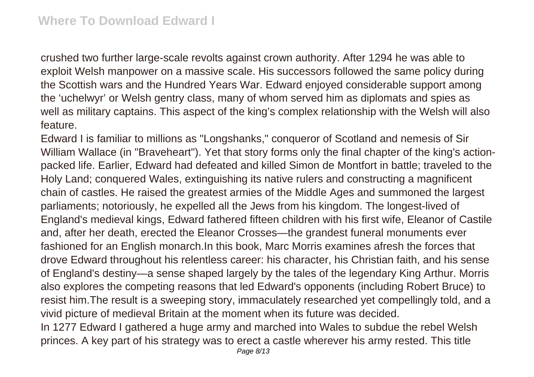crushed two further large-scale revolts against crown authority. After 1294 he was able to exploit Welsh manpower on a massive scale. His successors followed the same policy during the Scottish wars and the Hundred Years War. Edward enjoyed considerable support among the 'uchelwyr' or Welsh gentry class, many of whom served him as diplomats and spies as well as military captains. This aspect of the king's complex relationship with the Welsh will also feature.

Edward I is familiar to millions as "Longshanks," conqueror of Scotland and nemesis of Sir William Wallace (in "Braveheart"). Yet that story forms only the final chapter of the king's actionpacked life. Earlier, Edward had defeated and killed Simon de Montfort in battle; traveled to the Holy Land; conquered Wales, extinguishing its native rulers and constructing a magnificent chain of castles. He raised the greatest armies of the Middle Ages and summoned the largest parliaments; notoriously, he expelled all the Jews from his kingdom. The longest-lived of England's medieval kings, Edward fathered fifteen children with his first wife, Eleanor of Castile and, after her death, erected the Eleanor Crosses—the grandest funeral monuments ever fashioned for an English monarch.In this book, Marc Morris examines afresh the forces that drove Edward throughout his relentless career: his character, his Christian faith, and his sense of England's destiny—a sense shaped largely by the tales of the legendary King Arthur. Morris also explores the competing reasons that led Edward's opponents (including Robert Bruce) to resist him.The result is a sweeping story, immaculately researched yet compellingly told, and a vivid picture of medieval Britain at the moment when its future was decided.

In 1277 Edward I gathered a huge army and marched into Wales to subdue the rebel Welsh princes. A key part of his strategy was to erect a castle wherever his army rested. This title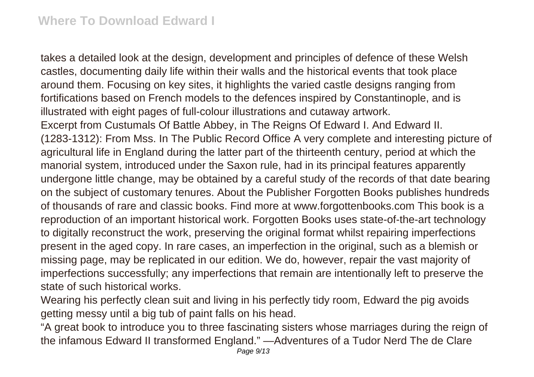takes a detailed look at the design, development and principles of defence of these Welsh castles, documenting daily life within their walls and the historical events that took place around them. Focusing on key sites, it highlights the varied castle designs ranging from fortifications based on French models to the defences inspired by Constantinople, and is illustrated with eight pages of full-colour illustrations and cutaway artwork. Excerpt from Custumals Of Battle Abbey, in The Reigns Of Edward I. And Edward II. (1283-1312): From Mss. In The Public Record Office A very complete and interesting picture of agricultural life in England during the latter part of the thirteenth century, period at which the manorial system, introduced under the Saxon rule, had in its principal features apparently undergone little change, may be obtained by a careful study of the records of that date bearing on the subject of customary tenures. About the Publisher Forgotten Books publishes hundreds of thousands of rare and classic books. Find more at www.forgottenbooks.com This book is a reproduction of an important historical work. Forgotten Books uses state-of-the-art technology to digitally reconstruct the work, preserving the original format whilst repairing imperfections present in the aged copy. In rare cases, an imperfection in the original, such as a blemish or missing page, may be replicated in our edition. We do, however, repair the vast majority of imperfections successfully; any imperfections that remain are intentionally left to preserve the state of such historical works.

Wearing his perfectly clean suit and living in his perfectly tidy room, Edward the pig avoids getting messy until a big tub of paint falls on his head.

"A great book to introduce you to three fascinating sisters whose marriages during the reign of the infamous Edward II transformed England." —Adventures of a Tudor Nerd The de Clare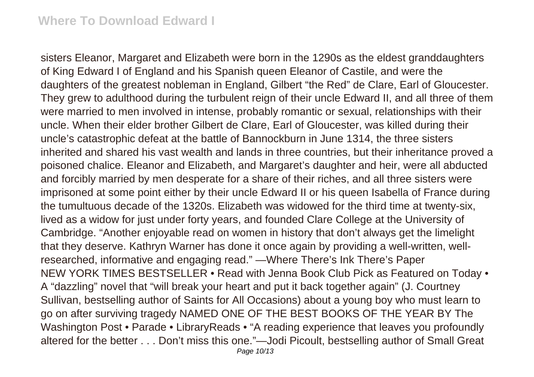sisters Eleanor, Margaret and Elizabeth were born in the 1290s as the eldest granddaughters of King Edward I of England and his Spanish queen Eleanor of Castile, and were the daughters of the greatest nobleman in England, Gilbert "the Red" de Clare, Earl of Gloucester. They grew to adulthood during the turbulent reign of their uncle Edward II, and all three of them were married to men involved in intense, probably romantic or sexual, relationships with their uncle. When their elder brother Gilbert de Clare, Earl of Gloucester, was killed during their uncle's catastrophic defeat at the battle of Bannockburn in June 1314, the three sisters inherited and shared his vast wealth and lands in three countries, but their inheritance proved a poisoned chalice. Eleanor and Elizabeth, and Margaret's daughter and heir, were all abducted and forcibly married by men desperate for a share of their riches, and all three sisters were imprisoned at some point either by their uncle Edward II or his queen Isabella of France during the tumultuous decade of the 1320s. Elizabeth was widowed for the third time at twenty-six, lived as a widow for just under forty years, and founded Clare College at the University of Cambridge. "Another enjoyable read on women in history that don't always get the limelight that they deserve. Kathryn Warner has done it once again by providing a well-written, wellresearched, informative and engaging read." —Where There's Ink There's Paper NEW YORK TIMES BESTSELLER • Read with Jenna Book Club Pick as Featured on Today • A "dazzling" novel that "will break your heart and put it back together again" (J. Courtney Sullivan, bestselling author of Saints for All Occasions) about a young boy who must learn to go on after surviving tragedy NAMED ONE OF THE BEST BOOKS OF THE YEAR BY The Washington Post • Parade • LibraryReads • "A reading experience that leaves you profoundly altered for the better . . . Don't miss this one."—Jodi Picoult, bestselling author of Small Great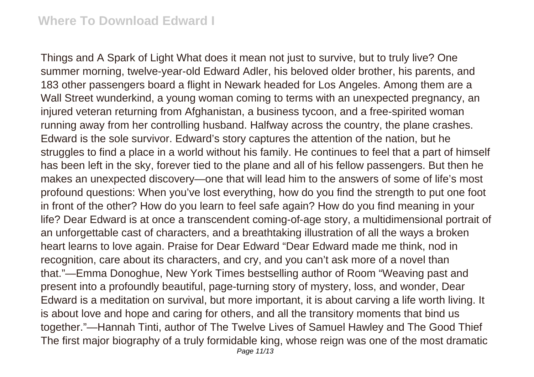Things and A Spark of Light What does it mean not just to survive, but to truly live? One summer morning, twelve-year-old Edward Adler, his beloved older brother, his parents, and 183 other passengers board a flight in Newark headed for Los Angeles. Among them are a Wall Street wunderkind, a young woman coming to terms with an unexpected pregnancy, an injured veteran returning from Afghanistan, a business tycoon, and a free-spirited woman running away from her controlling husband. Halfway across the country, the plane crashes. Edward is the sole survivor. Edward's story captures the attention of the nation, but he struggles to find a place in a world without his family. He continues to feel that a part of himself has been left in the sky, forever tied to the plane and all of his fellow passengers. But then he makes an unexpected discovery—one that will lead him to the answers of some of life's most profound questions: When you've lost everything, how do you find the strength to put one foot in front of the other? How do you learn to feel safe again? How do you find meaning in your life? Dear Edward is at once a transcendent coming-of-age story, a multidimensional portrait of an unforgettable cast of characters, and a breathtaking illustration of all the ways a broken heart learns to love again. Praise for Dear Edward "Dear Edward made me think, nod in recognition, care about its characters, and cry, and you can't ask more of a novel than that."—Emma Donoghue, New York Times bestselling author of Room "Weaving past and present into a profoundly beautiful, page-turning story of mystery, loss, and wonder, Dear Edward is a meditation on survival, but more important, it is about carving a life worth living. It is about love and hope and caring for others, and all the transitory moments that bind us together."—Hannah Tinti, author of The Twelve Lives of Samuel Hawley and The Good Thief The first major biography of a truly formidable king, whose reign was one of the most dramatic Page 11/13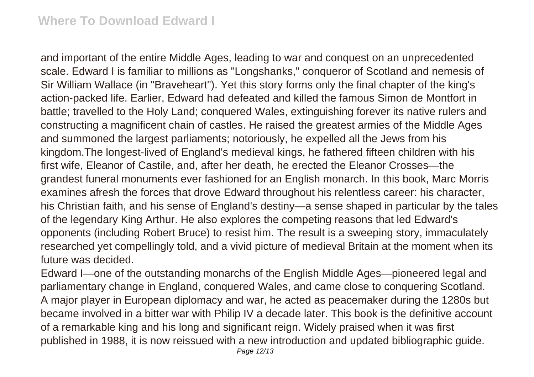and important of the entire Middle Ages, leading to war and conquest on an unprecedented scale. Edward I is familiar to millions as "Longshanks," conqueror of Scotland and nemesis of Sir William Wallace (in "Braveheart"). Yet this story forms only the final chapter of the king's action-packed life. Earlier, Edward had defeated and killed the famous Simon de Montfort in battle; travelled to the Holy Land; conquered Wales, extinguishing forever its native rulers and constructing a magnificent chain of castles. He raised the greatest armies of the Middle Ages and summoned the largest parliaments; notoriously, he expelled all the Jews from his kingdom.The longest-lived of England's medieval kings, he fathered fifteen children with his first wife, Eleanor of Castile, and, after her death, he erected the Eleanor Crosses—the grandest funeral monuments ever fashioned for an English monarch. In this book, Marc Morris examines afresh the forces that drove Edward throughout his relentless career: his character, his Christian faith, and his sense of England's destiny—a sense shaped in particular by the tales of the legendary King Arthur. He also explores the competing reasons that led Edward's opponents (including Robert Bruce) to resist him. The result is a sweeping story, immaculately researched yet compellingly told, and a vivid picture of medieval Britain at the moment when its future was decided.

Edward I—one of the outstanding monarchs of the English Middle Ages—pioneered legal and parliamentary change in England, conquered Wales, and came close to conquering Scotland. A major player in European diplomacy and war, he acted as peacemaker during the 1280s but became involved in a bitter war with Philip IV a decade later. This book is the definitive account of a remarkable king and his long and significant reign. Widely praised when it was first published in 1988, it is now reissued with a new introduction and updated bibliographic guide.